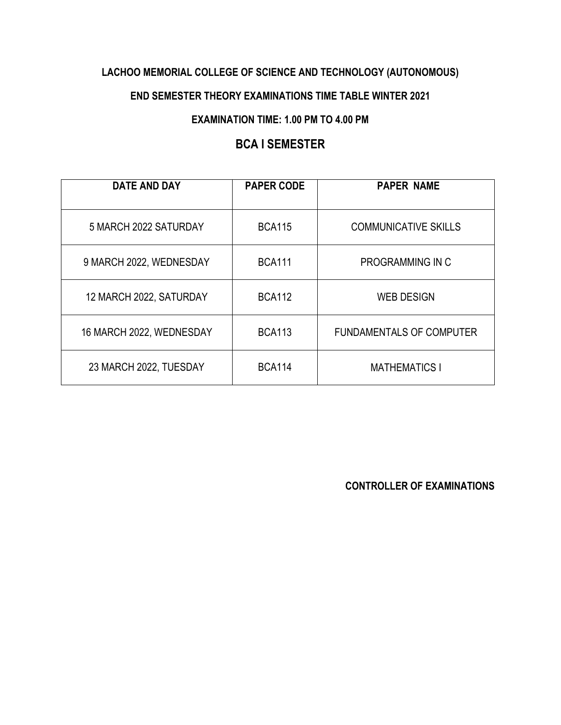### **LACHOO MEMORIAL COLLEGE OF SCIENCE AND TECHNOLOGY (AUTONOMOUS)**

#### **END SEMESTER THEORY EXAMINATIONS TIME TABLE WINTER 2021**

#### **EXAMINATION TIME: 1.00 PM TO 4.00 PM**

## **BCA I SEMESTER**

| <b>DATE AND DAY</b>      | <b>PAPER CODE</b> | <b>PAPER NAME</b>               |
|--------------------------|-------------------|---------------------------------|
| 5 MARCH 2022 SATURDAY    | <b>BCA115</b>     | <b>COMMUNICATIVE SKILLS</b>     |
| 9 MARCH 2022, WEDNESDAY  | <b>BCA111</b>     | PROGRAMMING IN C                |
| 12 MARCH 2022, SATURDAY  | <b>BCA112</b>     | <b>WEB DESIGN</b>               |
| 16 MARCH 2022, WEDNESDAY | <b>BCA113</b>     | <b>FUNDAMENTALS OF COMPUTER</b> |
| 23 MARCH 2022, TUESDAY   | <b>BCA114</b>     | <b>MATHEMATICS I</b>            |

**CONTROLLER OF EXAMINATIONS**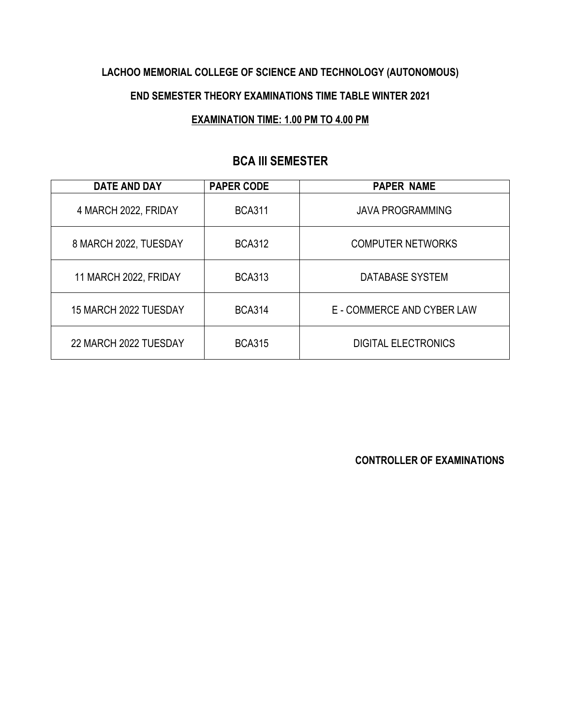## **LACHOO MEMORIAL COLLEGE OF SCIENCE AND TECHNOLOGY (AUTONOMOUS)**

#### **END SEMESTER THEORY EXAMINATIONS TIME TABLE WINTER 2021**

#### **EXAMINATION TIME: 1.00 PM TO 4.00 PM**

## **BCA III SEMESTER**

| <b>DATE AND DAY</b>   | <b>PAPER CODE</b> | <b>PAPER NAME</b>          |
|-----------------------|-------------------|----------------------------|
| 4 MARCH 2022, FRIDAY  | <b>BCA311</b>     | <b>JAVA PROGRAMMING</b>    |
| 8 MARCH 2022, TUESDAY | <b>BCA312</b>     | <b>COMPUTER NETWORKS</b>   |
| 11 MARCH 2022, FRIDAY | <b>BCA313</b>     | DATABASE SYSTEM            |
| 15 MARCH 2022 TUESDAY | <b>BCA314</b>     | E - COMMERCE AND CYBER LAW |
| 22 MARCH 2022 TUESDAY | <b>BCA315</b>     | <b>DIGITAL ELECTRONICS</b> |

**CONTROLLER OF EXAMINATIONS**